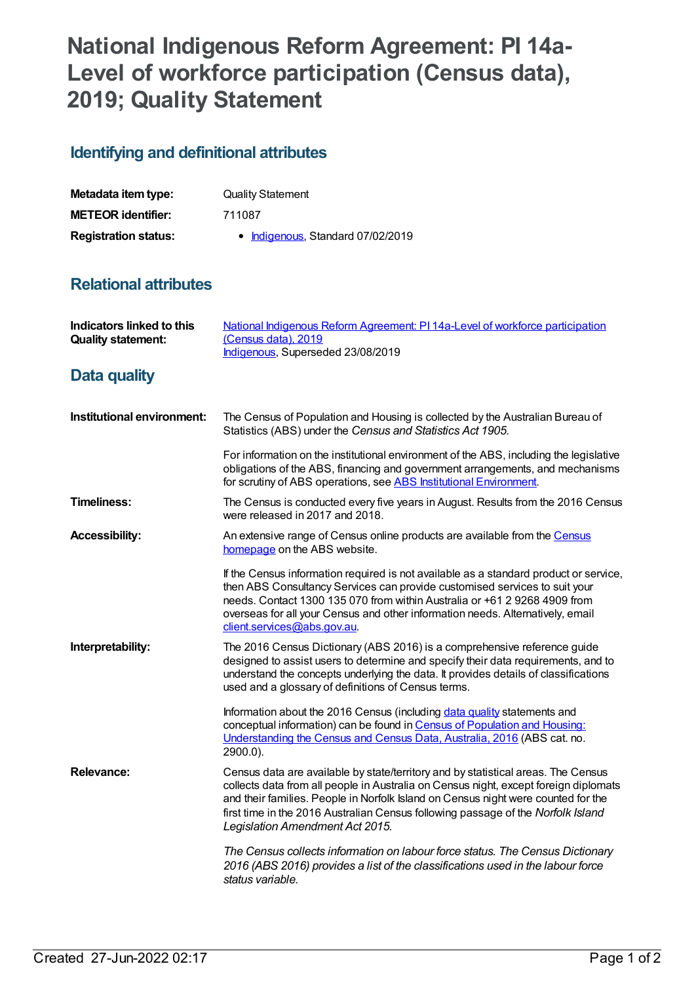# **National Indigenous Reform Agreement: PI 14a-Level of workforce participation (Census data), 2019; Quality Statement**

## **Identifying and definitional attributes**

| Metadata item type:         | <b>Quality Statement</b>          |
|-----------------------------|-----------------------------------|
| <b>METEOR identifier:</b>   | 711087                            |
| <b>Registration status:</b> | • Indigenous, Standard 07/02/2019 |

#### **Relational attributes**

| <b>Indicators linked to this</b><br><b>Quality statement:</b> | National Indigenous Reform Agreement: PI 14a-Level of workforce participation<br>(Census data), 2019<br>Indigenous, Superseded 23/08/2019                                                                                                                                                                                                                                             |
|---------------------------------------------------------------|---------------------------------------------------------------------------------------------------------------------------------------------------------------------------------------------------------------------------------------------------------------------------------------------------------------------------------------------------------------------------------------|
| <b>Data quality</b>                                           |                                                                                                                                                                                                                                                                                                                                                                                       |
| Institutional environment:                                    | The Census of Population and Housing is collected by the Australian Bureau of<br>Statistics (ABS) under the Census and Statistics Act 1905.                                                                                                                                                                                                                                           |
|                                                               | For information on the institutional environment of the ABS, including the legislative<br>obligations of the ABS, financing and government arrangements, and mechanisms<br>for scrutiny of ABS operations, see ABS Institutional Environment.                                                                                                                                         |
| <b>Timeliness:</b>                                            | The Census is conducted every five years in August. Results from the 2016 Census<br>were released in 2017 and 2018.                                                                                                                                                                                                                                                                   |
| <b>Accessibility:</b>                                         | An extensive range of Census online products are available from the Census<br>homepage on the ABS website.                                                                                                                                                                                                                                                                            |
|                                                               | If the Census information required is not available as a standard product or service,<br>then ABS Consultancy Services can provide customised services to suit your<br>needs. Contact 1300 135 070 from within Australia or +61 2 9268 4909 from<br>overseas for all your Census and other information needs. Alternatively, email<br>client.services@abs.gov.au.                     |
| Interpretability:                                             | The 2016 Census Dictionary (ABS 2016) is a comprehensive reference guide<br>designed to assist users to determine and specify their data requirements, and to<br>understand the concepts underlying the data. It provides details of classifications<br>used and a glossary of definitions of Census terms.                                                                           |
|                                                               | Information about the 2016 Census (including data quality statements and<br>conceptual information) can be found in Census of Population and Housing:<br>Understanding the Census and Census Data, Australia, 2016 (ABS cat. no.<br>2900.0).                                                                                                                                          |
| <b>Relevance:</b>                                             | Census data are available by state/territory and by statistical areas. The Census<br>collects data from all people in Australia on Census night, except foreign diplomats<br>and their families. People in Norfolk Island on Census night were counted for the<br>first time in the 2016 Australian Census following passage of the Norfolk Island<br>Legislation Amendment Act 2015. |
|                                                               | The Census collects information on labour force status. The Census Dictionary<br>2016 (ABS 2016) provides a list of the classifications used in the labour force<br>status variable.                                                                                                                                                                                                  |